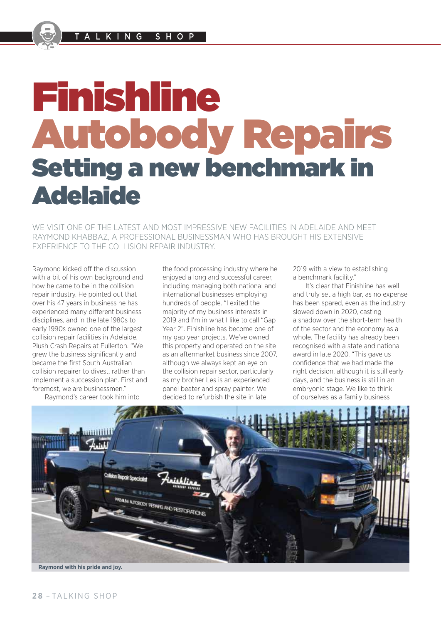## Finishline Autobody Repairs Setting a new benchmark in Adelaide

WE VISIT ONE OF THE LATEST AND MOST IMPRESSIVE NEW FACILITIES IN ADELAIDE AND MEET RAYMOND KHABBAZ, A PROFESSIONAL BUSINESSMAN WHO HAS BROUGHT HIS EXTENSIVE EXPERIENCE TO THE COLLISION REPAIR INDUSTRY.

Raymond kicked off the discussion with a bit of his own background and how he came to be in the collision repair industry. He pointed out that over his 47 years in business he has experienced many different business disciplines, and in the late 1980s to early 1990s owned one of the largest collision repair facilities in Adelaide, Plush Crash Repairs at Fullerton. "We grew the business significantly and became the first South Australian collision repairer to divest, rather than implement a succession plan. First and foremost, we are businessmen."

Raymond's career took him into

the food processing industry where he enjoyed a long and successful career, including managing both national and international businesses employing hundreds of people. "I exited the majority of my business interests in 2019 and I'm in what I like to call "Gap Year 2". Finishline has become one of my gap year projects. We've owned this property and operated on the site as an aftermarket business since 2007, although we always kept an eye on the collision repair sector, particularly as my brother Les is an experienced panel beater and spray painter. We decided to refurbish the site in late

2019 with a view to establishing a benchmark facility."

It's clear that Finishline has well and truly set a high bar, as no expense has been spared, even as the industry slowed down in 2020, casting a shadow over the short-term health of the sector and the economy as a whole. The facility has already been recognised with a state and national award in late 2020. "This gave us confidence that we had made the right decision, although it is still early days, and the business is still in an embryonic stage. We like to think of ourselves as a family business



**Raymond with his pride and joy.**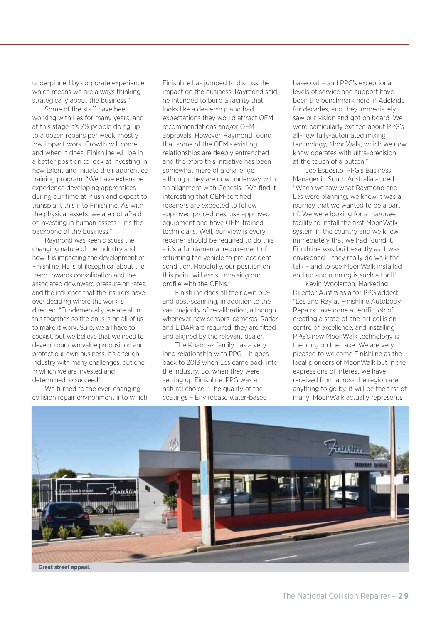underpinned by corporate experience, which means we are always thinking strategically about the business."

Some of the staff have been working with Les for many years, and at this stage it's 7½ people doing up to a dozen repairs per week, mostly low impact work. Growth will come and when it does, Finishline will be in a better position to look at investing in new talent and initiate their apprentice training program. "We have extensive experience developing apprentices during our time at Plush and expect to transplant this into Finishline. As with the physical assets, we are not afraid of investing in human assets – it's the backbone of the business."

Raymond was keen discuss the changing nature of the industry and how it is impacting the development of Finishline. He is philosophical about the trend towards consolidation and the associated downward pressure on rates, and the influence that the insurers have over deciding where the work is directed. "Fundamentally, we are all in this together, so the onus is on all of us to make it work. Sure, we all have to coexist, but we believe that we need to develop our own value proposition and protect our own business. It's a tough industry with many challenges, but one in which we are invested and determined to succeed."

We turned to the ever-changing collision repair environment into which Finishline has jumped to discuss the impact on the business. Raymond said he intended to build a facility that looks like a dealership and had expectations they would attract OEM recommendations and/or OEM approvals. However, Raymond found that some of the OEM's existing relationships are deeply entrenched and therefore this initiative has been somewhat more of a challenge, although they are now underway with an alignment with Genesis. "We find it interesting that OEM-certified repairers are expected to follow approved procedures, use approved equipment and have OEM-trained technicians. Well, our view is every repairer should be required to do this – it's a fundamental requirement of returning the vehicle to pre-accident condition. Hopefully, our position on this point will assist in raising our profile with the OEMs."

Finishline does all their own preand post-scanning, in addition to the vast majority of recalibration, although whenever new sensors, cameras, Radar and LiDAR are required, they are fitted and aligned by the relevant dealer.

The Khabbaz family has a very long relationship with PPG – it goes back to 2013 when Les came back into the industry. So, when they were setting up Finishline, PPG was a natural choice. "The quality of the coatings – Envirobase water-based

basecoat – and PPG's exceptional levels of service and support have been the benchmark here in Adelaide for decades, and they immediately saw our vision and got on board. We were particularly excited about PPG's all-new fully-automated mixing technology, MoonWalk, which we now know operates with ultra-precision, at the touch of a button."

Joe Esposito, PPG's Business Manager in South Australia added: "When we saw what Raymond and Les were planning, we knew it was a journey that we wanted to be a part of. We were looking for a marquee facility to install the first MoonWalk system in the country and we knew immediately that we had found it. Finishline was built exactly as it was envisioned – they really do walk the talk – and to see MoonWalk installed and up and running is such a thrill."

Kevin Woolerton, Marketing Director Australasia for PPG added: "Les and Ray at Finishline Autobody Repairs have done a terrific job of creating a state-of-the-art collision centre of excellence, and installing PPG's new MoonWalk technology is the icing on the cake. We are very pleased to welcome Finishline as the local pioneers of MoonWalk but, if the expressions of interest we have received from across the region are anything to go by, it will be the first of many! MoonWalk actually represents



**Great street appeal.**